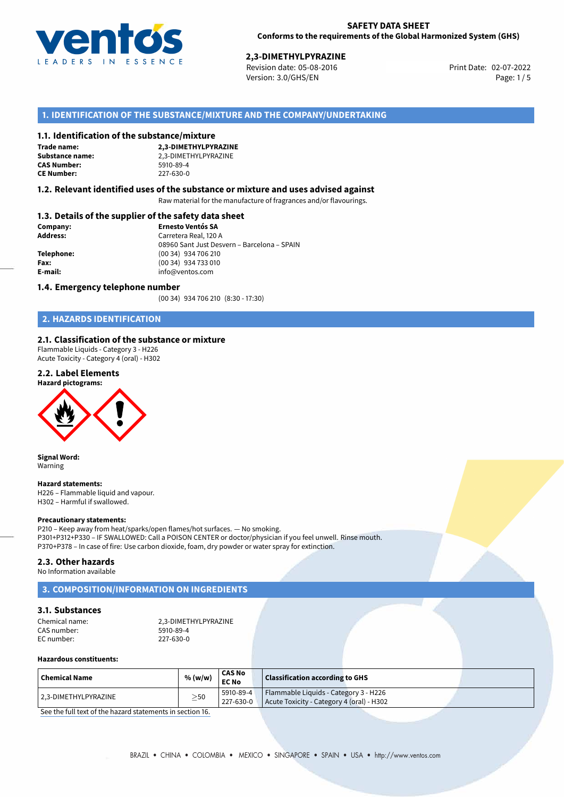

**2,3-DIMETHYLPYRAZINE**<br>Revision date: 05-08-2016 **Revision date: 02-07-2022** Version: 3.0/GHS/EN Page: 1/5

# **1. IDENTIFICATION OF THE SUBSTANCE/MIXTURE AND THE COMPANY/UNDERTAKING**

## **1.1. Identification of the substance/mixture**

**Trade name: CAS Number: CE Number:** 227-630-0

**2,3-DIMETHYLPYRAZINE Substance name:** 2,3-DIMETHYLPYRAZINE<br> **CAS Number:** 5910-89-4

## **1.2. Relevant identified uses of the substance or mixture and uses advised against**

Raw material for the manufacture of fragrances and/or flavourings.

# **1.3. Details of the supplier of the safety data sheet**

| Company:        | <b>Ernesto Ventós SA</b>                    |  |  |  |
|-----------------|---------------------------------------------|--|--|--|
| <b>Address:</b> | Carretera Real, 120 A                       |  |  |  |
|                 | 08960 Sant Just Desvern - Barcelona - SPAIN |  |  |  |
| Telephone:      | (00 34) 934 706 210                         |  |  |  |
| Fax:            | (00 34) 934 733 010                         |  |  |  |
| E-mail:         | info@ventos.com                             |  |  |  |
|                 |                                             |  |  |  |

### **1.4. Emergency telephone number**

(00 34) 934 706 210 (8:30 - 17:30)

# **2. HAZARDS IDENTIFICATION**

## **2.1. Classification of the substance or mixture**

Flammable Liquids - Category 3 - H226 Acute Toxicity - Category 4 (oral) - H302

#### **2.2. Label Elements**





**Signal Word:** Warning

#### **Hazard statements:**

H226 – Flammable liquid and vapour. H302 – Harmful if swallowed.

#### **Precautionary statements:**

P210 – Keep away from heat/sparks/open flames/hot surfaces. — No smoking. P301+P312+P330 – IF SWALLOWED: Call a POISON CENTER or doctor/physician if you feel unwell. Rinse mouth. P370+P378 – In case of fire: Use carbon dioxide, foam, dry powder or water spray for extinction.

#### **2.3. Other hazards**

No Information available

# **3. COMPOSITION/INFORMATION ON INGREDIENTS**

## **3.1. Substances**

Chemical name: 2,3-DIMETHYLPYRAZINE<br>CAS number: 2008 5910-89-4 CAS number: 5910-89-4<br>
FC number: 597-630-0 EC number:

## **Hazardous constituents:**

| ' Chemical Name       | % (w/w)   | ' CAS No<br><b>EC No</b> | <b>Classification according to GHS</b>                                             |  |
|-----------------------|-----------|--------------------------|------------------------------------------------------------------------------------|--|
| 12.3-DIMETHYLPYRAZINE | $\geq$ 50 | 5910-89-4<br>227-630-0   | Flammable Liquids - Category 3 - H226<br>Acute Toxicity - Category 4 (oral) - H302 |  |

[See the full text of the hazard statements in section 16.](#page--1-0)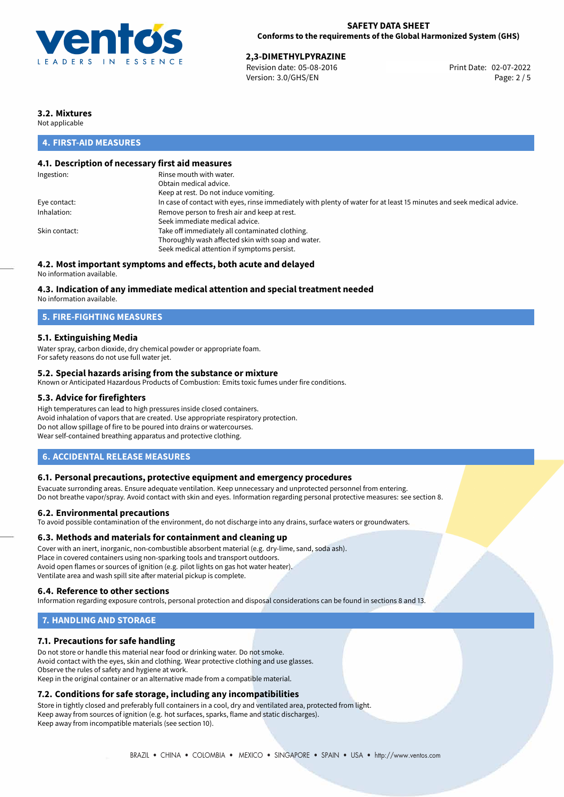

## **SAFETY DATA SHEET Conforms to the requirements of the Global Harmonized System (GHS)**

**2,3-DIMETHYLPYRAZINE**<br>Revision date: 05-08-2016 Print Date: 02-07-2022 Version: 3.0/GHS/EN Page: 2 / 5

# **3.2. Mixtures**

Not applicable

# **4. FIRST-AID MEASURES**

# **4.1. Description of necessary first aid measures**

| Ingestion:    | Rinse mouth with water.                                                                                               |
|---------------|-----------------------------------------------------------------------------------------------------------------------|
|               | Obtain medical advice.                                                                                                |
|               | Keep at rest. Do not induce vomiting.                                                                                 |
| Eye contact:  | In case of contact with eyes, rinse immediately with plenty of water for at least 15 minutes and seek medical advice. |
| Inhalation:   | Remove person to fresh air and keep at rest.                                                                          |
|               | Seek immediate medical advice.                                                                                        |
| Skin contact: | Take off immediately all contaminated clothing.                                                                       |
|               | Thoroughly wash affected skin with soap and water.                                                                    |
|               | Seek medical attention if symptoms persist.                                                                           |
|               |                                                                                                                       |

# **4.2. Most important symptoms and effects, both acute and delayed**

No information available.

# **4.3. Indication of any immediate medical attention and special treatment needed**

No information available.

# **5. FIRE-FIGHTING MEASURES**

# **5.1. Extinguishing Media**

Water spray, carbon dioxide, dry chemical powder or appropriate foam. For safety reasons do not use full water jet.

## **5.2. Special hazards arising from the substance or mixture**

Known or Anticipated Hazardous Products of Combustion: Emits toxic fumes under fire conditions.

## **5.3. Advice for firefighters**

High temperatures can lead to high pressures inside closed containers. Avoid inhalation of vapors that are created. Use appropriate respiratory protection. Do not allow spillage of fire to be poured into drains or watercourses. Wear self-contained breathing apparatus and protective clothing.

# **6. ACCIDENTAL RELEASE MEASURES**

## **6.1. Personal precautions, protective equipment and emergency procedures**

Evacuate surronding areas. Ensure adequate ventilation. Keep unnecessary and unprotected personnel from entering. Do not breathe vapor/spray. Avoid contact with skin and eyes. Information regarding personal protective measures: see section 8.

## **6.2. Environmental precautions**

To avoid possible contamination of the environment, do not discharge into any drains, surface waters or groundwaters.

## **6.3. Methods and materials for containment and cleaning up**

Cover with an inert, inorganic, non-combustible absorbent material (e.g. dry-lime, sand, soda ash). Place in covered containers using non-sparking tools and transport outdoors. Avoid open flames or sources of ignition (e.g. pilot lights on gas hot water heater). Ventilate area and wash spill site after material pickup is complete.

## **6.4. Reference to other sections**

Information regarding exposure controls, personal protection and disposal considerations can be found in sections 8 and 13.

# **7. HANDLING AND STORAGE**

# **7.1. Precautions for safe handling**

Do not store or handle this material near food or drinking water. Do not smoke. Avoid contact with the eyes, skin and clothing. Wear protective clothing and use glasses. Observe the rules of safety and hygiene at work. Keep in the original container or an alternative made from a compatible material.

# **7.2. Conditions for safe storage, including any incompatibilities**

Store in tightly closed and preferably full containers in a cool, dry and ventilated area, protected from light. Keep away from sources of ignition (e.g. hot surfaces, sparks, flame and static discharges). Keep away from incompatible materials (see section 10).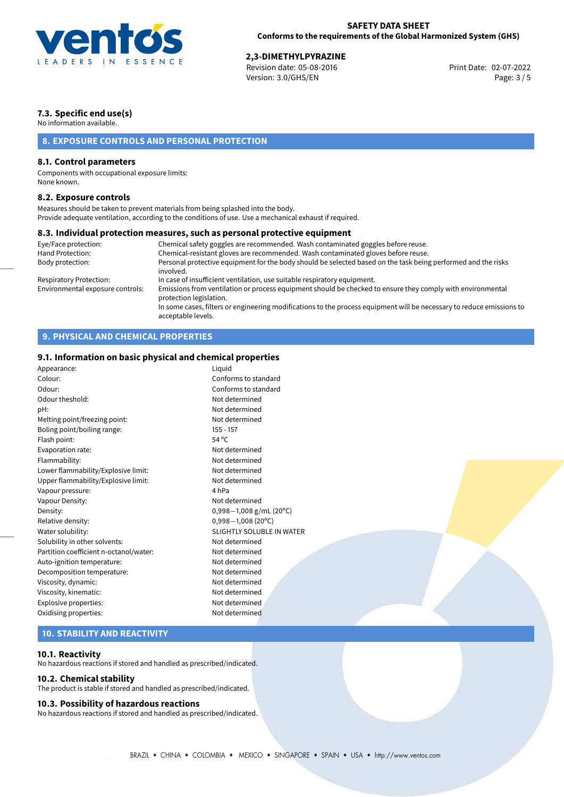

**2,3-DIMETHYLPYRAZINE**<br>Revision date: 05-08-2016 Print Date: 02-07-2022 Version: 3.0/GHS/EN Page: 3 / 5

# **7.3. Specific end use(s)**

No information available.

# **8. EXPOSURE CONTROLS AND PERSONAL PROTECTION**

# **8.1. Control parameters**

Components with occupational exposure limits: None known.

## **8.2. Exposure controls**

Measures should be taken to prevent materials from being splashed into the body. Provide adequate ventilation, according to the conditions of use. Use a mechanical exhaust if required.

## **8.3. Individual protection measures, such as personal protective equipment**

| Eye/Face protection:             | Chemical safety goggles are recommended. Wash contaminated goggles before reuse.                                                            |
|----------------------------------|---------------------------------------------------------------------------------------------------------------------------------------------|
| Hand Protection:                 | Chemical-resistant gloves are recommended. Wash contaminated gloves before reuse.                                                           |
| Body protection:                 | Personal protective equipment for the body should be selected based on the task being performed and the risks<br>involved.                  |
| Respiratory Protection:          | In case of insufficient ventilation, use suitable respiratory equipment.                                                                    |
| Environmental exposure controls: | Emissions from ventilation or process equipment should be checked to ensure they comply with environmental<br>protection legislation.       |
|                                  | In some cases, filters or engineering modifications to the process equipment will be necessary to reduce emissions to<br>acceptable levels. |

# **9. PHYSICAL AND CHEMICAL PROPERTIES**

# **9.1. Information on basic physical and chemical properties**

| Appearance:                            | Liquid                    |
|----------------------------------------|---------------------------|
| Colour:                                | Conforms to standard      |
| Odour:                                 | Conforms to standard      |
| Odour theshold:                        | Not determined            |
| pH:                                    | Not determined            |
| Melting point/freezing point:          | Not determined            |
| Boling point/boiling range:            | $155 - 157$               |
| Flash point:                           | 54 °C                     |
| Evaporation rate:                      | Not determined            |
| Flammability:                          | Not determined            |
| Lower flammability/Explosive limit:    | Not determined            |
| Upper flammability/Explosive limit:    | Not determined            |
| Vapour pressure:                       | 4 <sub>hPa</sub>          |
| Vapour Density:                        | Not determined            |
| Density:                               | 0,998-1,008 g/mL (20°C)   |
| Relative density:                      | $0,998 - 1,008$ (20°C)    |
| Water solubility:                      | SLIGHTLY SOLUBLE IN WATER |
| Solubility in other solvents:          | Not determined            |
| Partition coefficient n-octanol/water: | Not determined            |
| Auto-ignition temperature:             | Not determined            |
| Decomposition temperature:             | Not determined            |
| Viscosity, dynamic:                    | Not determined            |
| Viscosity, kinematic:                  | Not determined            |
| Explosive properties:                  | Not determined            |
| Oxidising properties:                  | Not determined            |
|                                        |                           |

# **10. STABILITY AND REACTIVITY**

## **10.1. Reactivity**

No hazardous reactions if stored and handled as prescribed/indicated.

## **10.2. Chemical stability**

The product is stable if stored and handled as prescribed/indicated.

## **10.3. Possibility of hazardous reactions**

No hazardous reactions if stored and handled as prescribed/indicated.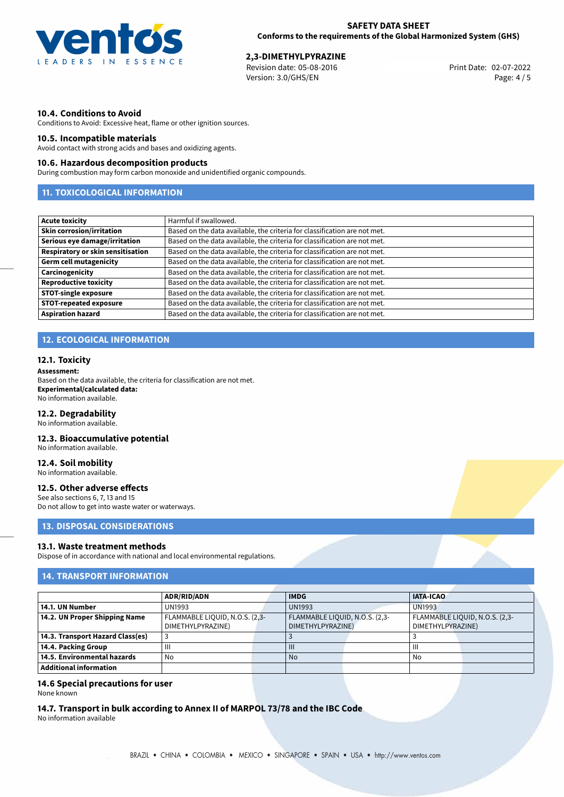

**2,3-DIMETHYLPYRAZINE**<br>Revision date: 05-08-2016 Print Date: 02-07-2022 Version: 3.0/GHS/EN Page: 4 / 5

# **10.4. Conditions to Avoid**

Conditions to Avoid: Excessive heat, flame or other ignition sources.

## **10.5. Incompatible materials**

Avoid contact with strong acids and bases and oxidizing agents.

## **10.6. Hazardous decomposition products**

During combustion may form carbon monoxide and unidentified organic compounds.

# **11. TOXICOLOGICAL INFORMATION**

| <b>Acute toxicity</b>             | Harmful if swallowed.                                                     |
|-----------------------------------|---------------------------------------------------------------------------|
| <b>Skin corrosion/irritation</b>  | Based on the data available, the criteria for classification are not met. |
| Serious eye damage/irritation     | Based on the data available, the criteria for classification are not met. |
| Respiratory or skin sensitisation | Based on the data available, the criteria for classification are not met. |
| <b>Germ cell mutagenicity</b>     | Based on the data available, the criteria for classification are not met. |
| Carcinogenicity                   | Based on the data available, the criteria for classification are not met. |
| <b>Reproductive toxicity</b>      | Based on the data available, the criteria for classification are not met. |
| <b>STOT-single exposure</b>       | Based on the data available, the criteria for classification are not met. |
| <b>STOT-repeated exposure</b>     | Based on the data available, the criteria for classification are not met. |
| <b>Aspiration hazard</b>          | Based on the data available, the criteria for classification are not met. |

# **12. ECOLOGICAL INFORMATION**

## **12.1. Toxicity**

### **Assessment:**

Based on the data available, the criteria for classification are not met. **Experimental/calculated data:** No information available.

## **12.2. Degradability**

No information available.

## **12.3. Bioaccumulative potential**

No information available.

# **12.4. Soil mobility**

No information available.

## **12.5. Other adverse effects**

See also sections 6, 7, 13 and 15 Do not allow to get into waste water or waterways.

# **13. DISPOSAL CONSIDERATIONS**

## **13.1. Waste treatment methods**

Dispose of in accordance with national and local environmental regulations.

# **14. TRANSPORT INFORMATION**

|                                  | <b>ADR/RID/ADN</b>                                  |  | <b>IMDG</b>                                         |  | <b>IATA-ICAO</b>                                    |  |
|----------------------------------|-----------------------------------------------------|--|-----------------------------------------------------|--|-----------------------------------------------------|--|
| 14.1. UN Number                  | <b>UN1993</b>                                       |  | <b>UN1993</b>                                       |  | <b>UN1993</b>                                       |  |
| 14.2. UN Proper Shipping Name    | FLAMMABLE LIQUID, N.O.S. (2,3-<br>DIMETHYLPYRAZINE) |  | FLAMMABLE LIQUID, N.O.S. (2,3-<br>DIMETHYLPYRAZINE) |  | FLAMMABLE LIQUID, N.O.S. (2,3-<br>DIMETHYLPYRAZINE) |  |
| 14.3. Transport Hazard Class(es) |                                                     |  |                                                     |  |                                                     |  |
| 14.4. Packing Group              | $\mathbf{III}$                                      |  |                                                     |  | $\mathbf{III}$                                      |  |
| 14.5. Environmental hazards      | No                                                  |  | <b>No</b>                                           |  | No                                                  |  |
| Additional information           |                                                     |  |                                                     |  |                                                     |  |

# **14.6 Special precautions for user**

None known

# **14.7. Transport in bulk according to Annex II of MARPOL 73/78 and the IBC Code**

No information available